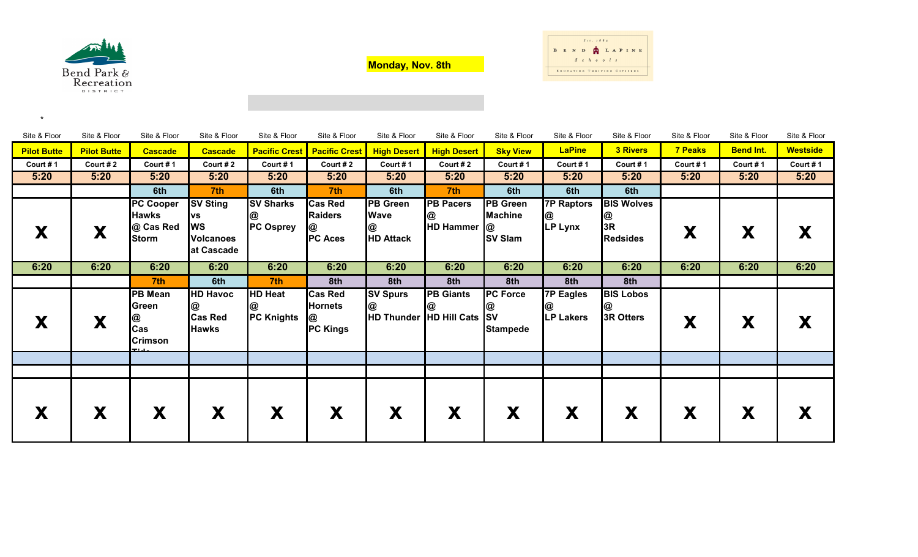

\*

**Monday, Nov. 8th**



| Site & Floor       | Site & Floor       | Site & Floor                                                  | Site & Floor                                                                | Site & Floor                              | Site & Floor                                             | Site & Floor                                            | Site & Floor                                        | Site & Floor                                        | Site & Floor                              | Site & Floor                                    | Site & Floor   | Site & Floor     | Site & Floor    |
|--------------------|--------------------|---------------------------------------------------------------|-----------------------------------------------------------------------------|-------------------------------------------|----------------------------------------------------------|---------------------------------------------------------|-----------------------------------------------------|-----------------------------------------------------|-------------------------------------------|-------------------------------------------------|----------------|------------------|-----------------|
| <b>Pilot Butte</b> | <b>Pilot Butte</b> | <b>Cascade</b>                                                | <b>Cascade</b>                                                              |                                           | <b>Pacific Crest   Pacific Crest</b>                     | <b>High Desert</b>                                      | <b>High Desert</b>                                  | <b>Sky View</b>                                     | <b>LaPine</b>                             | <b>3 Rivers</b>                                 | <b>7 Peaks</b> | <b>Bend Int.</b> | <b>Westside</b> |
| Court #1           | Court #2           | Court #1                                                      | Court #2                                                                    | Court #1                                  | Court # $2$                                              | Court #1                                                | Court #2                                            | Court #1                                            | Court #1                                  | Court #1                                        | Court #1       | Court #1         | Court #1        |
| 5:20               | 5:20               | 5:20                                                          | 5:20                                                                        | 5:20                                      | 5:20                                                     | 5:20                                                    | 5:20                                                | 5:20                                                | 5:20                                      | 5:20                                            | 5:20           | 5:20             | 5:20            |
|                    |                    | 6th                                                           | 7th                                                                         | 6th                                       | 7th                                                      | 6th                                                     | 7th                                                 | 6th                                                 | 6th                                       | 6th                                             |                |                  |                 |
| X                  | X                  | <b>PC Cooper</b><br><b>Hawks</b><br>@ Cas Red<br><b>Storm</b> | <b>SV Sting</b><br><b>VS</b><br><b>WS</b><br><b>Volcanoes</b><br>at Cascade | <b>SV Sharks</b><br>@<br><b>PC Osprey</b> | <b>Cas Red</b><br><b>Raiders</b><br>@<br><b>PC Aces</b>  | <b>PB</b> Green<br><b>Wave</b><br>@<br><b>HD Attack</b> | <b>PB Pacers</b><br>@<br>HD Hammer @                | <b>PB</b> Green<br><b>Machine</b><br><b>SV Slam</b> | <b>7P Raptors</b><br>@<br>LP Lynx         | <b>BIS Wolves</b><br>@<br>3R<br><b>Redsides</b> | X              | X                |                 |
| 6:20               | 6:20               | 6:20                                                          | 6:20                                                                        | 6:20                                      | 6:20                                                     | 6:20                                                    | 6:20                                                | 6:20                                                | 6:20                                      | 6:20                                            | 6:20           | 6:20             | 6:20            |
|                    |                    | 7 <sup>th</sup>                                               | 6th                                                                         | 7th                                       | 8th                                                      | 8th                                                     | 8th                                                 | 8th                                                 | 8th                                       | 8th                                             |                |                  |                 |
| X                  | X                  | <b>PB Mean</b><br>Green<br>@<br>Cas<br><b>Crimson</b>         | <b>HD Havoc</b><br>@<br><b>Cas Red</b><br><b>Hawks</b>                      | <b>HD Heat</b><br>@<br><b>PC Knights</b>  | <b>Cas Red</b><br><b>Hornets</b><br>@<br><b>PC Kings</b> | <b>SV Spurs</b><br>@                                    | <b>PB Giants</b><br>@<br>HD Thunder HD Hill Cats SV | <b>PC</b> Force<br>@<br><b>Stampede</b>             | <b>7P Eagles</b><br>@<br><b>LP Lakers</b> | <b>BIS Lobos</b><br>@<br>3R Otters              | X              | X                |                 |
| X                  | X                  | X                                                             | X                                                                           | X                                         | X                                                        | X                                                       | X                                                   | X                                                   | X                                         | X                                               | X              | X                |                 |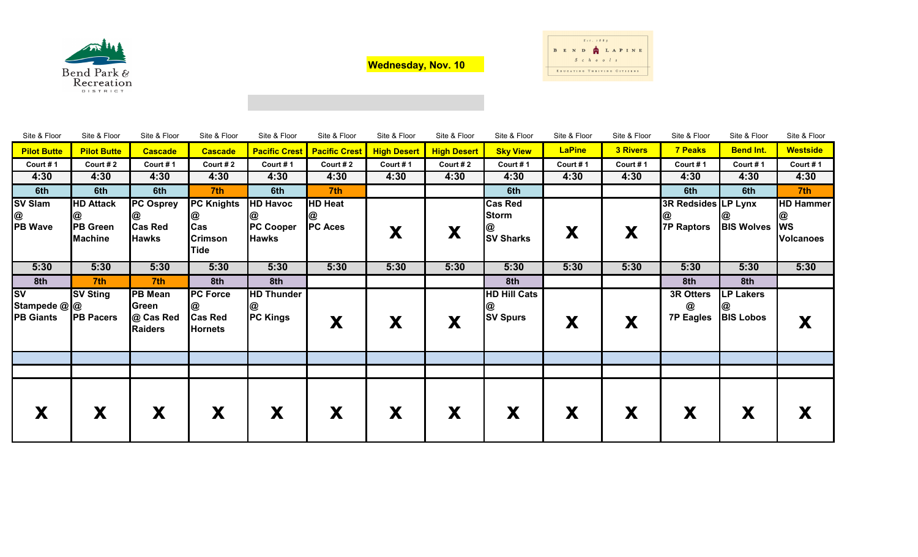

**Wednesday, Nov. 10**



| Site & Floor                                  | Site & Floor                                          | Site & Floor                                            | Site & Floor                                            | Site & Floor                                             | Site & Floor                          | Site & Floor       | Site & Floor       | Site & Floor                                       | Site & Floor  | Site & Floor    | Site & Floor                             | Site & Floor                              | Site & Floor                                           |
|-----------------------------------------------|-------------------------------------------------------|---------------------------------------------------------|---------------------------------------------------------|----------------------------------------------------------|---------------------------------------|--------------------|--------------------|----------------------------------------------------|---------------|-----------------|------------------------------------------|-------------------------------------------|--------------------------------------------------------|
| <b>Pilot Butte</b>                            | <b>Pilot Butte</b>                                    | <b>Cascade</b>                                          | <b>Cascade</b>                                          |                                                          | <b>Pacific Crest   Pacific Crest</b>  | <b>High Desert</b> | <b>High Desert</b> | <b>Sky View</b>                                    | <b>LaPine</b> | <b>3 Rivers</b> | <b>7 Peaks</b>                           | <b>Bend Int.</b>                          | <b>Westside</b>                                        |
| Court #1                                      | Court #2                                              | Court #1                                                | Court #2                                                | Court #1                                                 | Court #2                              | Court #1           | Court #2           | Court #1                                           | Court #1      | Court #1        | Court #1                                 | Court #1                                  | Court #1                                               |
| 4:30                                          | 4:30                                                  | 4:30                                                    | 4:30                                                    | 4:30                                                     | 4:30                                  | 4:30               | 4:30               | 4:30                                               | 4:30          | 4:30            | 4:30                                     | 4:30                                      | 4:30                                                   |
| 6th                                           | 6th                                                   | 6th                                                     | 7th                                                     | 6th                                                      | 7 <sup>th</sup>                       |                    |                    | 6th                                                |               |                 | 6th                                      | 6th                                       | 7th                                                    |
| <b>SV Slam</b><br>@<br><b>PB Wave</b>         | <b>HD Attack</b><br><b>PB</b> Green<br><b>Machine</b> | <b>PC</b> Osprey<br>@<br><b>Cas Red</b><br><b>Hawks</b> | <b>PC Knights</b><br>@<br>Cas<br><b>Crimson</b><br>Tide | <b>HD Havoc</b><br>@<br><b>PC Cooper</b><br><b>Hawks</b> | <b>HD Heat</b><br>@<br><b>PC Aces</b> | X                  | X                  | <b>Cas Red</b><br><b>Storm</b><br><b>SV Sharks</b> | X             | X               | 3R Redsides LP Lynx<br><b>7P Raptors</b> | <b>BIS Wolves</b>                         | <b>HD Hammer</b><br>@<br><b>WS</b><br><b>Volcanoes</b> |
| 5:30                                          | 5:30                                                  | 5:30                                                    | 5:30                                                    | 5:30                                                     | 5:30                                  | 5:30               | 5:30               | 5:30                                               | 5:30          | 5:30            | 5:30                                     | 5:30                                      | 5:30                                                   |
| 8th                                           | 7th                                                   | 7th                                                     | 8th                                                     | 8th                                                      |                                       |                    |                    | 8th                                                |               |                 | 8th                                      | 8th                                       |                                                        |
| <b>SV</b><br>Stampede @ @<br><b>PB Giants</b> | <b>SV Sting</b><br><b>PB Pacers</b>                   | <b>PB Mean</b><br>Green<br>@ Cas Red<br><b>Raiders</b>  | <b>PC Force</b><br><b>Cas Red</b><br><b>Hornets</b>     | <b>HD Thunder</b><br>@<br><b>PC Kings</b>                | X                                     | X                  | X                  | <b>HD Hill Cats</b><br>C<br><b>SV Spurs</b>        | X             | X               | 3R Otters<br>@<br><b>7P Eagles</b>       | <b>LP Lakers</b><br>@<br><b>BIS Lobos</b> | X                                                      |
|                                               |                                                       |                                                         |                                                         |                                                          |                                       |                    |                    |                                                    |               |                 |                                          |                                           |                                                        |
|                                               |                                                       |                                                         |                                                         |                                                          |                                       |                    |                    |                                                    |               |                 |                                          |                                           |                                                        |
| X                                             | X                                                     | X                                                       | X                                                       | X                                                        | X                                     | X                  | X                  | X                                                  | X             | X               | X                                        | X                                         | X                                                      |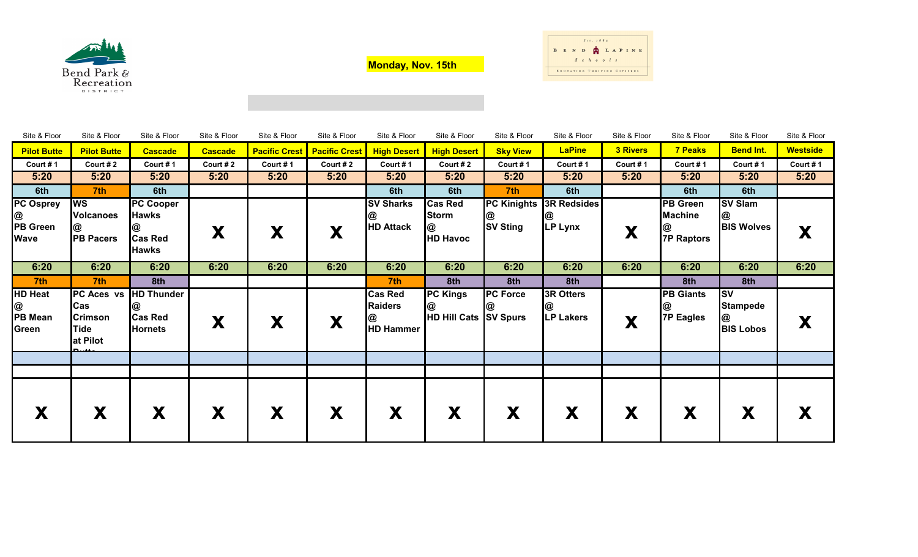

**Monday, Nov. 15th**



| Site & Floor                                     | Site & Floor                                           | Site & Floor                                                       | Site & Floor   | Site & Floor         | Site & Floor         | Site & Floor                                              | Site & Floor                                           | Site & Floor                          | Site & Floor                              | Site & Floor    | Site & Floor                                           | Site & Floor                                          | Site & Floor          |
|--------------------------------------------------|--------------------------------------------------------|--------------------------------------------------------------------|----------------|----------------------|----------------------|-----------------------------------------------------------|--------------------------------------------------------|---------------------------------------|-------------------------------------------|-----------------|--------------------------------------------------------|-------------------------------------------------------|-----------------------|
| <b>Pilot Butte</b>                               | <b>Pilot Butte</b>                                     | <b>Cascade</b>                                                     | <b>Cascade</b> | <b>Pacific Crest</b> | <b>Pacific Crest</b> | <b>High Desert</b>                                        | <b>High Desert</b>                                     | <b>Sky View</b>                       | <b>LaPine</b>                             | <b>3 Rivers</b> | <b>7 Peaks</b>                                         | <b>Bend Int.</b>                                      | <b>Westside</b>       |
| Court #1                                         | Court #2                                               | Court #1                                                           | Court #2       | Court #1             | Court #2             | Court #1                                                  | Court #2                                               | Court #1                              | Court #1                                  | Court #1        | Court #1                                               | Court #1                                              | Court #1              |
| 5:20                                             | 5:20                                                   | 5:20                                                               | 5:20           | 5:20                 | 5:20                 | 5:20                                                      | 5:20                                                   | 5:20                                  | 5:20                                      | 5:20            | 5:20                                                   | 5:20                                                  | 5:20                  |
| 6th                                              | 7 <sup>th</sup>                                        | 6th                                                                |                |                      |                      | 6th                                                       | 6th                                                    | 7th                                   | 6th                                       |                 | 6th                                                    | 6th                                                   |                       |
| <b>PC Osprey</b><br>@<br>PB Green<br><b>Wave</b> | <b>WS</b><br><b>Volcanoes</b><br>@<br><b>PB Pacers</b> | <b>PC Cooper</b><br><b>Hawks</b><br><b>Cas Red</b><br><b>Hawks</b> | X              | X                    | X                    | <b>SV Sharks</b><br><b>HD Attack</b>                      | <b>Cas Red</b><br><b>Storm</b><br>@<br><b>HD Havoc</b> | <b>PC Kinights</b><br><b>SV Sting</b> | <b>3R Redsides</b><br>@<br><b>LP Lynx</b> | X               | <b>PB Green</b><br><b>Machine</b><br><b>7P Raptors</b> | <b>SV Slam</b><br>@<br><b>BIS Wolves</b>              | Y<br>$\blacktriangle$ |
| 6:20                                             | 6:20                                                   | 6:20                                                               | 6:20           | 6:20                 | 6:20                 | 6:20                                                      | 6:20                                                   | 6:20                                  | 6:20                                      | 6:20            | 6:20                                                   | 6:20                                                  | 6:20                  |
| 7th                                              | 7th                                                    | 8th                                                                |                |                      |                      | 7th                                                       | 8th                                                    | 8th                                   | 8th                                       |                 | 8th                                                    | 8th                                                   |                       |
| <b>HD Heat</b><br>PB Mean<br>Green               | <b>Cas</b><br><b>Crimson</b><br>Tide<br>at Pilot       | PC Aces vs HD Thunder<br>@<br><b>Cas Red</b><br><b>Hornets</b>     | X              | X                    | X                    | <b>Cas Red</b><br><b>Raiders</b><br>@<br><b>HD Hammer</b> | <b>PC Kings</b><br>@<br>HD Hill Cats SV Spurs          | <b>PC Force</b>                       | <b>3R Otters</b><br>@<br><b>LP Lakers</b> | X               | <b>PB Giants</b><br>യ<br>7P Eagles                     | <b>SV</b><br><b>Stampede</b><br>@<br><b>BIS Lobos</b> | X                     |
|                                                  |                                                        |                                                                    |                |                      |                      |                                                           |                                                        |                                       |                                           |                 |                                                        |                                                       |                       |
|                                                  |                                                        |                                                                    |                |                      |                      |                                                           |                                                        |                                       |                                           |                 |                                                        |                                                       |                       |
|                                                  | X                                                      | X                                                                  | X              | X                    | X                    | X                                                         | X                                                      | X                                     | X                                         | X               | X                                                      | X                                                     | X                     |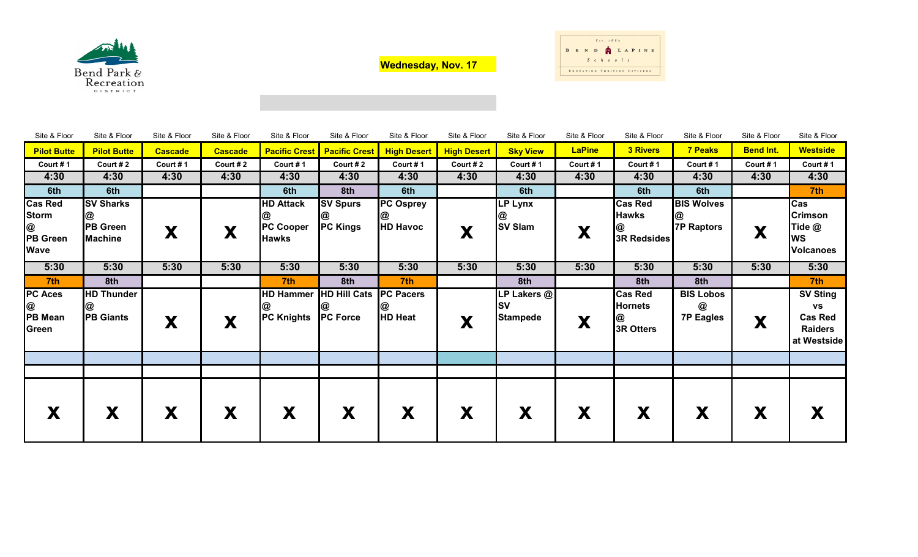

**Wednesday, Nov. 17**



| Site & Floor                                                          | Site & Floor                                          | Site & Floor   | Site & Floor   | Site & Floor                                         | Site & Floor                           | Site & Floor                             | Site & Floor       | Site & Floor                                | Site & Floor  | Site & Floor                                       | Site & Floor                              | Site & Floor     | Site & Floor                                                                    |
|-----------------------------------------------------------------------|-------------------------------------------------------|----------------|----------------|------------------------------------------------------|----------------------------------------|------------------------------------------|--------------------|---------------------------------------------|---------------|----------------------------------------------------|-------------------------------------------|------------------|---------------------------------------------------------------------------------|
| <b>Pilot Butte</b>                                                    | <b>Pilot Butte</b>                                    | <b>Cascade</b> | <b>Cascade</b> | <b>Pacific Crest</b>                                 | <b>Pacific Crest</b>                   | <b>High Desert</b>                       | <b>High Desert</b> | <b>Sky View</b>                             | <b>LaPine</b> | <b>3 Rivers</b>                                    | <b>7 Peaks</b>                            | <b>Bend Int.</b> | <b>Westside</b>                                                                 |
| Court #1                                                              | Court #2                                              | Court #1       | Court #2       | Court #1                                             | Court #2                               | Court #1                                 | Court #2           | Court #1                                    | Court #1      | Court #1                                           | Court #1                                  | Court #1         | Court #1                                                                        |
| 4:30                                                                  | 4:30                                                  | 4:30           | 4:30           | 4:30                                                 | 4:30                                   | 4:30                                     | 4:30               | 4:30                                        | 4:30          | 4:30                                               | 4:30                                      | 4:30             | 4:30                                                                            |
| 6th                                                                   | 6th                                                   |                |                | 6th                                                  | 8th                                    | 6th                                      |                    | 6th                                         |               | 6th                                                | 6th                                       |                  | 7 <sup>th</sup>                                                                 |
| <b>Cas Red</b><br><b>Storm</b><br>@<br><b>PB</b> Green<br><b>Wave</b> | <b>SV Sharks</b><br><b>PB Green</b><br><b>Machine</b> | X              | X              | <b>HD Attack</b><br><b>PC Cooper</b><br><b>Hawks</b> | <b>SV Spurs</b><br><b>PC Kings</b>     | <b>PC Osprey</b><br>യ<br><b>HD Havoc</b> | X                  | <b>LP Lynx</b><br>@<br><b>SV Slam</b>       | X             | <b>Cas Red</b><br><b>Hawks</b><br>@<br>3R Redsides | <b>BIS Wolves</b><br><b>7P Raptors</b>    | X                | Cas<br><b>Crimson</b><br>Tide @<br><b>WS</b><br><b>Volcanoes</b>                |
| 5:30                                                                  | 5:30                                                  | 5:30           | 5:30           | 5:30                                                 | 5:30                                   | 5:30                                     | 5:30               | 5:30                                        | 5:30          | 5:30                                               | 5:30                                      | 5:30             | 5:30                                                                            |
| 7th                                                                   | 8th                                                   |                |                | 7th                                                  | 8th                                    | 7th                                      |                    | 8th                                         |               | 8th                                                | 8th                                       |                  | 7th                                                                             |
| <b>PC Aces</b><br>@<br><b>PB Mean</b><br>Green                        | <b>HD Thunder</b><br><b>PB Giants</b>                 | X              | X              | <b>HD Hammer</b><br><b>PC Knights</b>                | <b>HD Hill Cats</b><br><b>PC Force</b> | <b>PC Pacers</b><br>@<br><b>HD Heat</b>  | X                  | LP Lakers @<br><b>SV</b><br><b>Stampede</b> | X             | <b>Cas Red</b><br><b>Hornets</b><br>@<br>3R Otters | <b>BIS Lobos</b><br>@<br><b>7P Eagles</b> | X                | <b>SV Sting</b><br><b>VS</b><br><b>Cas Red</b><br><b>Raiders</b><br>at Westside |
|                                                                       | X                                                     | X              | X              | X                                                    | X                                      | X                                        | X                  | X                                           | X             | X                                                  | X                                         | X                | X                                                                               |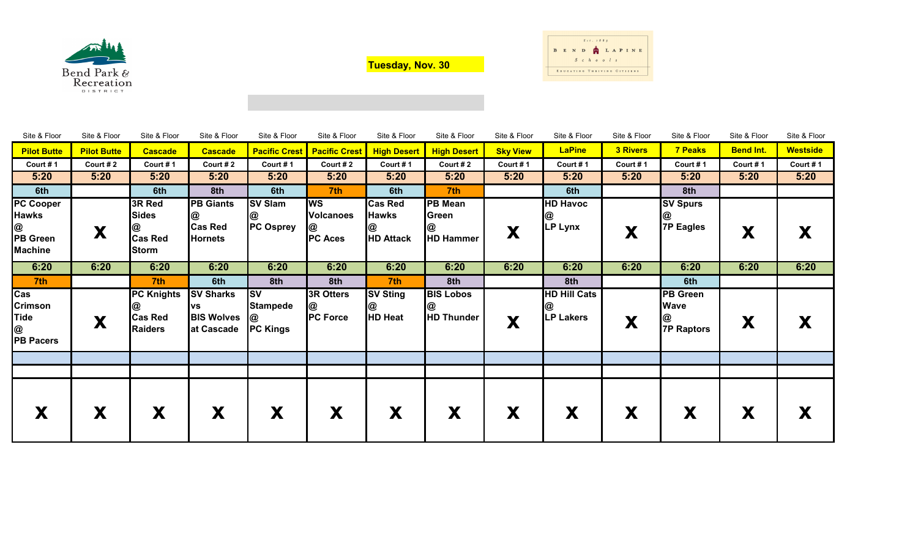

**Tuesday, Nov. 30**



| Site & Floor       | Site & Floor       | Site & Floor      | Site & Floor      | Site & Floor           | Site & Floor         | Site & Floor       | Site & Floor       | Site & Floor    | Site & Floor        | Site & Floor    | Site & Floor    | Site & Floor     | Site & Floor    |
|--------------------|--------------------|-------------------|-------------------|------------------------|----------------------|--------------------|--------------------|-----------------|---------------------|-----------------|-----------------|------------------|-----------------|
| <b>Pilot Butte</b> | <b>Pilot Butte</b> | <b>Cascade</b>    | <b>Cascade</b>    | <b>Pacific Crest</b>   | <b>Pacific Crest</b> | <b>High Desert</b> | <b>High Desert</b> | <b>Sky View</b> | <b>LaPine</b>       | <b>3 Rivers</b> | 7 Peaks         | <b>Bend Int.</b> | <b>Westside</b> |
| Court #1           | Court # $2$        | Court #1          | Court #2          | Court #1               | Court #2             | Court #1           | Court #2           | Court #1        | Court #1            | Court #1        | Court #1        | Court #1         | Court #1        |
| 5:20               | 5:20               | 5:20              | 5:20              | 5:20                   | 5:20                 | 5:20               | 5:20               | 5:20            | 5:20                | 5:20            | 5:20            | 5:20             | 5:20            |
| 6th                |                    | 6th               | 8th               | 6th                    | 7 <sup>th</sup>      | 6th                | 7 <sup>th</sup>    |                 | 6th                 |                 | 8th             |                  |                 |
| <b>PC Cooper</b>   |                    | 3R Red            | <b>PB Giants</b>  | <b>SV Slam</b>         | <b>WS</b>            | <b>Cas Red</b>     | <b>PB Mean</b>     |                 | <b>HD Havoc</b>     |                 | <b>SV Spurs</b> |                  |                 |
| <b>Hawks</b>       |                    | <b>Sides</b>      | @                 | @                      | <b>Volcanoes</b>     | <b>Hawks</b>       | Green              |                 | @                   |                 | @               |                  |                 |
| @                  | X                  |                   | <b>Cas Red</b>    | <b>PC Osprey</b>       |                      |                    | @                  | X               | <b>LP Lynx</b>      | X               | 7P Eagles       | X                | X               |
| <b>PB Green</b>    |                    | <b>Cas Red</b>    | <b>Hornets</b>    |                        | <b>PC Aces</b>       | <b>HD Attack</b>   | <b>HD Hammer</b>   |                 |                     |                 |                 |                  |                 |
| <b>Machine</b>     |                    | <b>Storm</b>      |                   |                        |                      |                    |                    |                 |                     |                 |                 |                  |                 |
| 6:20               | 6:20               | 6:20              | 6:20              | 6:20                   | 6:20                 | 6:20               | 6:20               | 6:20            | 6:20                | 6:20            | 6:20            | 6:20             | 6:20            |
| 7th                |                    | 7 <sup>th</sup>   | 6th               | 8th                    | 8th                  | 7th                | 8th                |                 | 8th                 |                 | 6th             |                  |                 |
| Cas                |                    | <b>PC Knights</b> | <b>SV Sharks</b>  | $\overline{\text{sv}}$ | 3R Otters            | <b>SV Sting</b>    | <b>BIS Lobos</b>   |                 | <b>HD Hill Cats</b> |                 | <b>PB Green</b> |                  |                 |
| <b>Crimson</b>     |                    |                   | <b>VS</b>         | <b>Stampede</b>        | @                    | @                  | @                  |                 |                     |                 | <b>Wave</b>     |                  |                 |
| <b>Tide</b>        | X                  | <b>Cas Red</b>    | <b>BIS Wolves</b> | <b>@</b>               | <b>PC Force</b>      | <b>HD Heat</b>     | <b>HD Thunder</b>  | X               | <b>LP Lakers</b>    | X               |                 | X                | X               |
| $\circledR$        |                    | <b>Raiders</b>    | at Cascade        | <b>PC Kings</b>        |                      |                    |                    |                 |                     |                 | @<br>7P Raptors |                  |                 |
| <b>PB Pacers</b>   |                    |                   |                   |                        |                      |                    |                    |                 |                     |                 |                 |                  |                 |
|                    |                    |                   |                   |                        |                      |                    |                    |                 |                     |                 |                 |                  |                 |
|                    |                    |                   |                   |                        |                      |                    |                    |                 |                     |                 |                 |                  |                 |
|                    |                    |                   |                   |                        |                      |                    |                    |                 |                     |                 |                 |                  |                 |
|                    |                    |                   |                   |                        |                      |                    |                    |                 |                     |                 |                 |                  |                 |
|                    | X                  | X                 | X                 | X                      | X                    | X                  | X                  | X               | X                   | X               | X               | X                | X               |
|                    |                    |                   |                   |                        |                      |                    |                    |                 |                     |                 |                 |                  |                 |
|                    |                    |                   |                   |                        |                      |                    |                    |                 |                     |                 |                 |                  |                 |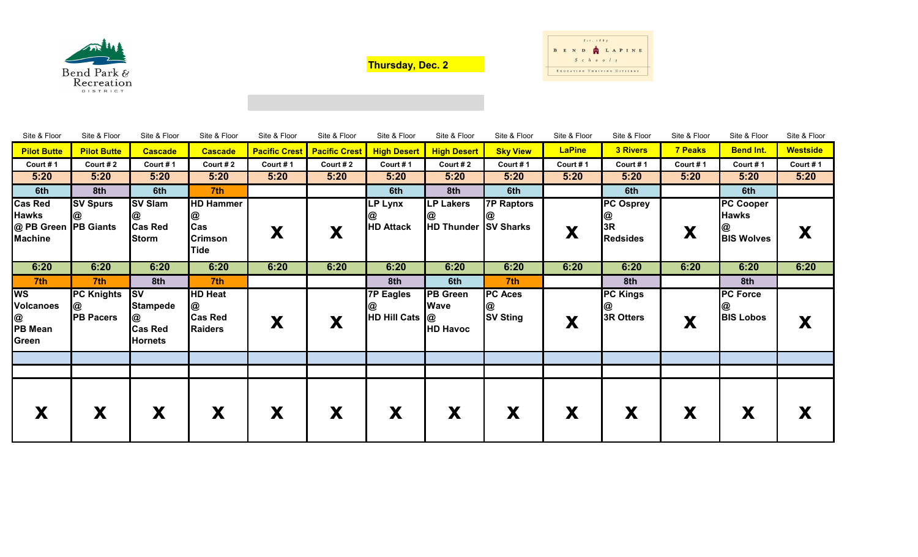

**Thursday, Dec. 2**



| Site & Floor                                                             | Site & Floor                               | Site & Floor                                                                       | Site & Floor                                                  | Site & Floor | Site & Floor                         | Site & Floor                       | Site & Floor                                      | Site & Floor                           | Site & Floor  | Site & Floor                             | Site & Floor   | Site & Floor                                               | Site & Floor    |
|--------------------------------------------------------------------------|--------------------------------------------|------------------------------------------------------------------------------------|---------------------------------------------------------------|--------------|--------------------------------------|------------------------------------|---------------------------------------------------|----------------------------------------|---------------|------------------------------------------|----------------|------------------------------------------------------------|-----------------|
| <b>Pilot Butte</b>                                                       | <b>Pilot Butte</b>                         | <b>Cascade</b>                                                                     | <b>Cascade</b>                                                |              | <b>Pacific Crest   Pacific Crest</b> | <b>High Desert</b>                 | <b>High Desert</b>                                | <b>Sky View</b>                        | <b>LaPine</b> | <b>3 Rivers</b>                          | <b>7 Peaks</b> | <b>Bend Int.</b>                                           | <b>Westside</b> |
| Court #1                                                                 | Court #2                                   | Court #1                                                                           | Court # 2                                                     | Court #1     | Court #2                             | Court #1                           | Court #2                                          | Court #1                               | Court #1      | Court #1                                 | Court #1       | Court #1                                                   | Court #1        |
| 5:20                                                                     | 5:20                                       | 5:20                                                                               | 5:20                                                          | 5:20         | 5:20                                 | 5:20                               | 5:20                                              | 5:20                                   | 5:20          | 5:20                                     | 5:20           | 5:20                                                       | 5:20            |
| 6th                                                                      | 8th                                        | 6th                                                                                | 7th                                                           |              |                                      | 6th                                | 8th                                               | 6th                                    |               | 6th                                      |                | 6th                                                        |                 |
| <b>Cas Red</b><br><b>Hawks</b><br>@ PB Green PB Giants<br><b>Machine</b> | <b>SV Spurs</b><br>@                       | <b>SV Slam</b><br>@<br><b>Cas Red</b><br><b>Storm</b>                              | <b>HD Hammer</b><br>@<br>Cas<br><b>Crimson</b><br><b>Tide</b> | X            | X                                    | LP Lynx<br><b>HD Attack</b>        | <b>LP Lakers</b><br><b>HD Thunder SV Sharks</b>   | <b>7P Raptors</b>                      | X             | PC Osprey<br>@<br>3R<br><b>Redsides</b>  | X              | <b>PC Cooper</b><br><b>Hawks</b><br>@<br><b>BIS Wolves</b> | X               |
| 6:20                                                                     | 6:20                                       | 6:20                                                                               | 6:20                                                          | 6:20         | 6:20                                 | 6:20                               | 6:20                                              | 6:20                                   | 6:20          | 6:20                                     | 6:20           | 6:20                                                       | 6:20            |
| 7th                                                                      | 7th                                        | 8th                                                                                | 7th                                                           |              |                                      | 8th                                | 6th                                               | 7th                                    |               | 8th                                      |                | 8th                                                        |                 |
| <b>WS</b><br><b>Volcanoes</b><br>@<br>PB Mean<br>Green                   | <b>PC Knights</b><br>@<br><b>PB Pacers</b> | $\overline{\text{sv}}$<br><b>Stampede</b><br>@<br><b>Cas Red</b><br><b>Hornets</b> | <b>HD Heat</b><br>@<br><b>Cas Red</b><br><b>Raiders</b>       | X            | X                                    | <b>7P Eagles</b><br>HD Hill Cats @ | <b>PB Green</b><br><b>Wave</b><br><b>HD Havoc</b> | <b>PC Aces</b><br>@<br><b>SV Sting</b> | X             | <b>PC Kings</b><br>@<br><b>3R Otters</b> | X              | <b>PC Force</b><br>@<br><b>BIS Lobos</b>                   | X               |
|                                                                          |                                            |                                                                                    |                                                               |              |                                      |                                    |                                                   |                                        |               |                                          |                |                                                            |                 |
|                                                                          |                                            |                                                                                    |                                                               |              |                                      |                                    |                                                   |                                        |               |                                          |                |                                                            |                 |
|                                                                          | X                                          | X                                                                                  | X                                                             | X            | X                                    | X                                  | X                                                 | X                                      | X             | X                                        | X              | Х                                                          | Х               |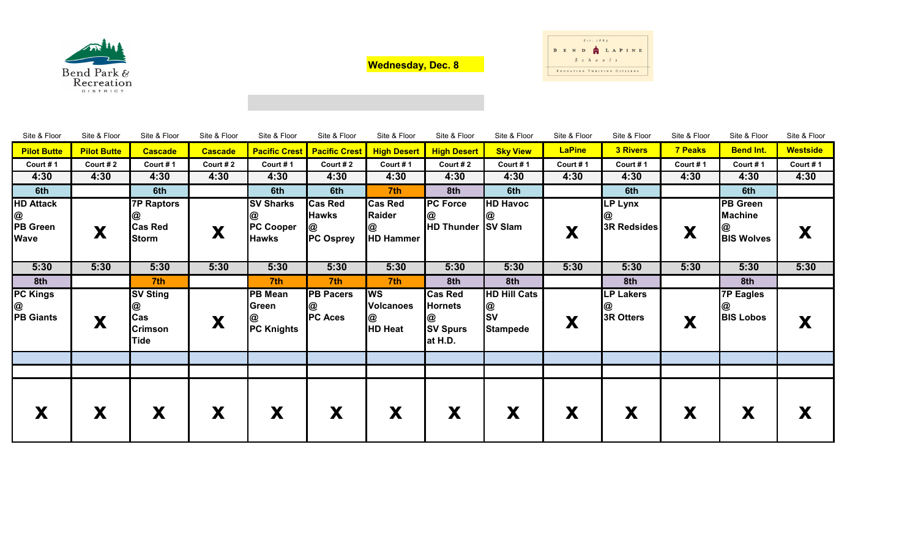

**Wednesday, Dec. 8**



| Site & Floor                                     | Site & Floor       | Site & Floor                                          | Site & Floor   | Site & Floor                                               | Site & Floor                                            | Site & Floor                                             | Site & Floor                                                   | Site & Floor                                      | Site & Floor  | Site & Floor                         | Site & Floor   | Site & Floor                                                | Site & Floor    |
|--------------------------------------------------|--------------------|-------------------------------------------------------|----------------|------------------------------------------------------------|---------------------------------------------------------|----------------------------------------------------------|----------------------------------------------------------------|---------------------------------------------------|---------------|--------------------------------------|----------------|-------------------------------------------------------------|-----------------|
| <b>Pilot Butte</b>                               | <b>Pilot Butte</b> | <b>Cascade</b>                                        | <b>Cascade</b> | <b>Pacific Crest</b>                                       | <b>Pacific Crest</b>                                    | <b>High Desert</b>                                       | <b>High Desert</b>                                             | <b>Sky View</b>                                   | <b>LaPine</b> | <b>3 Rivers</b>                      | <b>7 Peaks</b> | <b>Bend Int.</b>                                            | <b>Westside</b> |
| Court #1                                         | Court #2           | Court #1                                              | Court #2       | Court #1                                                   | Court #2                                                | Court #1                                                 | Court #2                                                       | Court #1                                          | Court #1      | Court #1                             | Court #1       | Court #1                                                    | Court #1        |
| 4:30                                             | 4:30               | 4:30                                                  | 4:30           | 4:30                                                       | 4:30                                                    | 4:30                                                     | 4:30                                                           | 4:30                                              | 4:30          | 4:30                                 | 4:30           | 4:30                                                        | 4:30            |
| 6th                                              |                    | 6th                                                   |                | 6th                                                        | 6th                                                     | 7 <sup>th</sup>                                          | 8th                                                            | 6th                                               |               | 6th                                  |                | 6th                                                         |                 |
| <b>HD Attack</b><br>@<br>PB Green<br><b>Wave</b> | X                  | <b>7P Raptors</b><br><b>Cas Red</b><br><b>Storm</b>   | X              | <b>SV Sharks</b><br>CU<br><b>PC Cooper</b><br><b>Hawks</b> | <b>Cas Red</b><br><b>Hawks</b><br>@<br><b>PC Osprey</b> | <b>Cas Red</b><br><b>Raider</b><br>@<br><b>HD Hammer</b> | <b>PC Force</b><br><b>HD Thunder SV Slam</b>                   | <b>HD Havoc</b>                                   | X             | LP Lynx<br>3R Redsides               | X              | <b>PB</b> Green<br><b>Machine</b><br>@<br><b>BIS Wolves</b> | X               |
| 5:30                                             | 5:30               | 5:30                                                  | 5:30           | 5:30                                                       | 5:30                                                    | 5:30                                                     | 5:30                                                           | 5:30                                              | 5:30          | 5:30                                 | 5:30           | 5:30                                                        | 5:30            |
| 8th                                              |                    | 7th                                                   |                | 7th                                                        | 7th                                                     | 7th                                                      | 8th                                                            | 8th                                               |               | 8th                                  |                | 8th                                                         |                 |
| <b>PC Kings</b><br>@<br><b>PB Giants</b>         | X                  | <b>SV Sting</b><br>@<br>Cas<br><b>Crimson</b><br>Tide | X              | <b>PB Mean</b><br>Green<br>@<br><b>PC Knights</b>          | <b>PB Pacers</b><br>@<br><b>PC Aces</b>                 | <b>IWS</b><br><b>Volcanoes</b><br>@<br><b>HD Heat</b>    | <b>Cas Red</b><br><b>Hornets</b><br><b>SV Spurs</b><br>at H.D. | <b>HD Hill Cats</b><br>@<br>SV<br><b>Stampede</b> | X             | <b>LP Lakers</b><br><b>3R Otters</b> | X              | <b>7P Eagles</b><br>@<br><b>BIS Lobos</b>                   | X               |
|                                                  |                    |                                                       |                |                                                            |                                                         |                                                          |                                                                |                                                   |               |                                      |                |                                                             |                 |
|                                                  |                    |                                                       |                |                                                            |                                                         |                                                          |                                                                |                                                   |               |                                      |                |                                                             |                 |
|                                                  | X                  | X                                                     | X              | X                                                          | X                                                       | X                                                        | Х                                                              | X                                                 | X             | X                                    | X              | Х                                                           | X               |